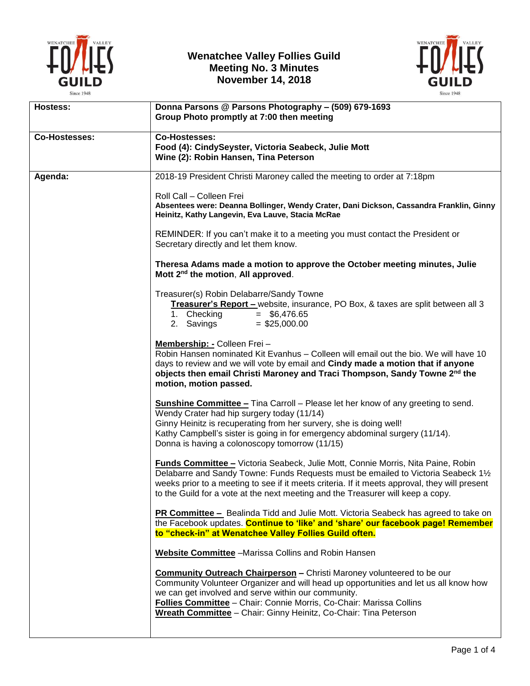

## **Wenatchee Valley Follies Guild Meeting No. 3 Minutes November 14, 2018**



| Hostess:             | Donna Parsons @ Parsons Photography - (509) 679-1693<br>Group Photo promptly at 7:00 then meeting                                                                                                                                                                                                                                                                       |
|----------------------|-------------------------------------------------------------------------------------------------------------------------------------------------------------------------------------------------------------------------------------------------------------------------------------------------------------------------------------------------------------------------|
| <b>Co-Hostesses:</b> | <b>Co-Hostesses:</b><br>Food (4): CindySeyster, Victoria Seabeck, Julie Mott<br>Wine (2): Robin Hansen, Tina Peterson                                                                                                                                                                                                                                                   |
| Agenda:              | 2018-19 President Christi Maroney called the meeting to order at 7:18pm                                                                                                                                                                                                                                                                                                 |
|                      | Roll Call - Colleen Frei<br>Absentees were: Deanna Bollinger, Wendy Crater, Dani Dickson, Cassandra Franklin, Ginny<br>Heinitz, Kathy Langevin, Eva Lauve, Stacia McRae                                                                                                                                                                                                 |
|                      | REMINDER: If you can't make it to a meeting you must contact the President or<br>Secretary directly and let them know.                                                                                                                                                                                                                                                  |
|                      | Theresa Adams made a motion to approve the October meeting minutes, Julie<br>Mott 2 <sup>nd</sup> the motion, All approved.                                                                                                                                                                                                                                             |
|                      | Treasurer(s) Robin Delabarre/Sandy Towne<br>Treasurer's Report - website, insurance, PO Box, & taxes are split between all 3<br>$=$ \$6,476.65<br>1. Checking<br>2. Savings<br>$=$ \$25,000.00                                                                                                                                                                          |
|                      | Membership: - Colleen Frei -<br>Robin Hansen nominated Kit Evanhus - Colleen will email out the bio. We will have 10<br>days to review and we will vote by email and Cindy made a motion that if anyone<br>objects then email Christi Maroney and Traci Thompson, Sandy Towne 2nd the<br>motion, motion passed.                                                         |
|                      | <b>Sunshine Committee - Tina Carroll - Please let her know of any greeting to send.</b><br>Wendy Crater had hip surgery today (11/14)<br>Ginny Heinitz is recuperating from her survery, she is doing well!<br>Kathy Campbell's sister is going in for emergency abdominal surgery (11/14).<br>Donna is having a colonoscopy tomorrow (11/15)                           |
|                      | Funds Committee - Victoria Seabeck, Julie Mott, Connie Morris, Nita Paine, Robin<br>Delabarre and Sandy Towne: Funds Requests must be emailed to Victoria Seabeck 11/2<br>weeks prior to a meeting to see if it meets criteria. If it meets approval, they will present<br>to the Guild for a vote at the next meeting and the Treasurer will keep a copy.              |
|                      | <b>PR Committee -</b> Bealinda Tidd and Julie Mott. Victoria Seabeck has agreed to take on<br>the Facebook updates. Continue to 'like' and 'share' our facebook page! Remember<br>to "check-in" at Wenatchee Valley Follies Guild often.                                                                                                                                |
|                      | Website Committee -Marissa Collins and Robin Hansen                                                                                                                                                                                                                                                                                                                     |
|                      | <b>Community Outreach Chairperson</b> - Christi Maroney volunteered to be our<br>Community Volunteer Organizer and will head up opportunities and let us all know how<br>we can get involved and serve within our community.<br>Follies Committee - Chair: Connie Morris, Co-Chair: Marissa Collins<br>Wreath Committee - Chair: Ginny Heinitz, Co-Chair: Tina Peterson |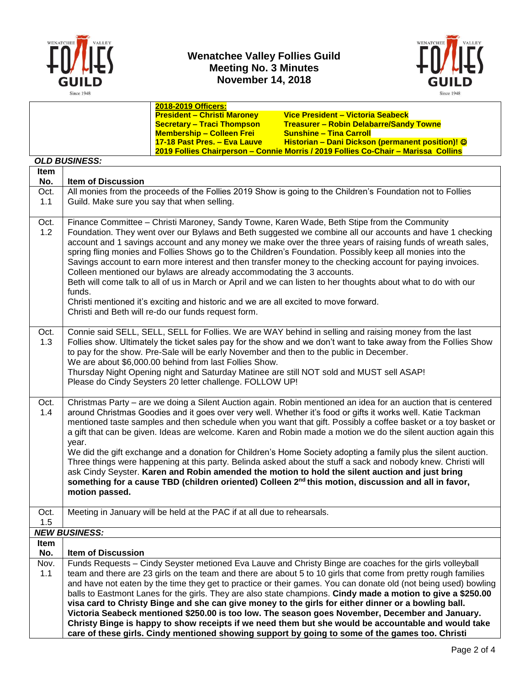

## **Wenatchee Valley Follies Guild Meeting No. 3 Minutes November 14, 2018**



|      |                                                                                                                                                                                                        | 2018-2019 Officers:                                                                  |                                                                                                                 |  |  |  |  |  |
|------|--------------------------------------------------------------------------------------------------------------------------------------------------------------------------------------------------------|--------------------------------------------------------------------------------------|-----------------------------------------------------------------------------------------------------------------|--|--|--|--|--|
|      |                                                                                                                                                                                                        | <b>President - Christi Maroney</b>                                                   | Vice President - Victoria Seabeck                                                                               |  |  |  |  |  |
|      |                                                                                                                                                                                                        | <b>Secretary - Traci Thompson</b>                                                    | <b>Treasurer - Robin Delabarre/Sandy Towne</b>                                                                  |  |  |  |  |  |
|      |                                                                                                                                                                                                        | <b>Membership - Colleen Frei</b>                                                     | <b>Sunshine - Tina Carroll</b>                                                                                  |  |  |  |  |  |
|      |                                                                                                                                                                                                        | 17-18 Past Pres. - Eva Lauve                                                         | Historian - Dani Dickson (permanent position)! ©                                                                |  |  |  |  |  |
|      | 2019 Follies Chairperson - Connie Morris / 2019 Follies Co-Chair - Marissa Collins                                                                                                                     |                                                                                      |                                                                                                                 |  |  |  |  |  |
|      | <b>OLD BUSINESS:</b>                                                                                                                                                                                   |                                                                                      |                                                                                                                 |  |  |  |  |  |
| Item |                                                                                                                                                                                                        |                                                                                      |                                                                                                                 |  |  |  |  |  |
| No.  | <b>Item of Discussion</b>                                                                                                                                                                              |                                                                                      |                                                                                                                 |  |  |  |  |  |
| Oct. |                                                                                                                                                                                                        |                                                                                      | All monies from the proceeds of the Follies 2019 Show is going to the Children's Foundation not to Follies      |  |  |  |  |  |
| 1.1  | Guild. Make sure you say that when selling.                                                                                                                                                            |                                                                                      |                                                                                                                 |  |  |  |  |  |
|      |                                                                                                                                                                                                        |                                                                                      |                                                                                                                 |  |  |  |  |  |
| Oct. |                                                                                                                                                                                                        |                                                                                      | Finance Committee - Christi Maroney, Sandy Towne, Karen Wade, Beth Stipe from the Community                     |  |  |  |  |  |
| 1.2  |                                                                                                                                                                                                        |                                                                                      | Foundation. They went over our Bylaws and Beth suggested we combine all our accounts and have 1 checking        |  |  |  |  |  |
|      |                                                                                                                                                                                                        |                                                                                      | account and 1 savings account and any money we make over the three years of raising funds of wreath sales,      |  |  |  |  |  |
|      |                                                                                                                                                                                                        |                                                                                      | spring fling monies and Follies Shows go to the Children's Foundation. Possibly keep all monies into the        |  |  |  |  |  |
|      |                                                                                                                                                                                                        |                                                                                      | Savings account to earn more interest and then transfer money to the checking account for paying invoices.      |  |  |  |  |  |
|      |                                                                                                                                                                                                        | Colleen mentioned our bylaws are already accommodating the 3 accounts.               |                                                                                                                 |  |  |  |  |  |
|      |                                                                                                                                                                                                        |                                                                                      | Beth will come talk to all of us in March or April and we can listen to her thoughts about what to do with our  |  |  |  |  |  |
|      | funds.                                                                                                                                                                                                 |                                                                                      |                                                                                                                 |  |  |  |  |  |
|      |                                                                                                                                                                                                        | Christi mentioned it's exciting and historic and we are all excited to move forward. |                                                                                                                 |  |  |  |  |  |
|      |                                                                                                                                                                                                        | Christi and Beth will re-do our funds request form.                                  |                                                                                                                 |  |  |  |  |  |
|      |                                                                                                                                                                                                        |                                                                                      |                                                                                                                 |  |  |  |  |  |
| Oct. |                                                                                                                                                                                                        |                                                                                      | Connie said SELL, SELL, SELL for Follies. We are WAY behind in selling and raising money from the last          |  |  |  |  |  |
| 1.3  |                                                                                                                                                                                                        |                                                                                      | Follies show. Ultimately the ticket sales pay for the show and we don't want to take away from the Follies Show |  |  |  |  |  |
|      |                                                                                                                                                                                                        |                                                                                      | to pay for the show. Pre-Sale will be early November and then to the public in December.                        |  |  |  |  |  |
|      |                                                                                                                                                                                                        | We are about \$6,000.00 behind from last Follies Show.                               |                                                                                                                 |  |  |  |  |  |
|      |                                                                                                                                                                                                        |                                                                                      | Thursday Night Opening night and Saturday Matinee are still NOT sold and MUST sell ASAP!                        |  |  |  |  |  |
|      |                                                                                                                                                                                                        | Please do Cindy Seysters 20 letter challenge. FOLLOW UP!                             |                                                                                                                 |  |  |  |  |  |
|      |                                                                                                                                                                                                        |                                                                                      |                                                                                                                 |  |  |  |  |  |
| Oct. |                                                                                                                                                                                                        |                                                                                      | Christmas Party - are we doing a Silent Auction again. Robin mentioned an idea for an auction that is centered  |  |  |  |  |  |
| 1.4  |                                                                                                                                                                                                        |                                                                                      | around Christmas Goodies and it goes over very well. Whether it's food or gifts it works well. Katie Tackman    |  |  |  |  |  |
|      |                                                                                                                                                                                                        |                                                                                      | mentioned taste samples and then schedule when you want that gift. Possibly a coffee basket or a toy basket or  |  |  |  |  |  |
|      |                                                                                                                                                                                                        |                                                                                      | a gift that can be given. Ideas are welcome. Karen and Robin made a motion we do the silent auction again this  |  |  |  |  |  |
|      | year.                                                                                                                                                                                                  |                                                                                      |                                                                                                                 |  |  |  |  |  |
|      | We did the gift exchange and a donation for Children's Home Society adopting a family plus the silent auction.                                                                                         |                                                                                      |                                                                                                                 |  |  |  |  |  |
|      | Three things were happening at this party. Belinda asked about the stuff a sack and nobody knew. Christi will                                                                                          |                                                                                      |                                                                                                                 |  |  |  |  |  |
|      | ask Cindy Seyster. Karen and Robin amended the motion to hold the silent auction and just bring                                                                                                        |                                                                                      |                                                                                                                 |  |  |  |  |  |
|      |                                                                                                                                                                                                        |                                                                                      | something for a cause TBD (children oriented) Colleen 2 <sup>nd</sup> this motion, discussion and all in favor, |  |  |  |  |  |
|      | motion passed.                                                                                                                                                                                         |                                                                                      |                                                                                                                 |  |  |  |  |  |
|      |                                                                                                                                                                                                        |                                                                                      |                                                                                                                 |  |  |  |  |  |
| Oct. |                                                                                                                                                                                                        | Meeting in January will be held at the PAC if at all due to rehearsals.              |                                                                                                                 |  |  |  |  |  |
| 1.5  |                                                                                                                                                                                                        |                                                                                      |                                                                                                                 |  |  |  |  |  |
|      | <b>NEW BUSINESS:</b>                                                                                                                                                                                   |                                                                                      |                                                                                                                 |  |  |  |  |  |
| Item |                                                                                                                                                                                                        |                                                                                      |                                                                                                                 |  |  |  |  |  |
| No.  | <b>Item of Discussion</b>                                                                                                                                                                              |                                                                                      |                                                                                                                 |  |  |  |  |  |
| Nov. |                                                                                                                                                                                                        |                                                                                      | Funds Requests - Cindy Seyster metioned Eva Lauve and Christy Binge are coaches for the girls volleyball        |  |  |  |  |  |
| 1.1  |                                                                                                                                                                                                        |                                                                                      | team and there are 23 girls on the team and there are about 5 to 10 girls that come from pretty rough families  |  |  |  |  |  |
|      |                                                                                                                                                                                                        |                                                                                      | and have not eaten by the time they get to practice or their games. You can donate old (not being used) bowling |  |  |  |  |  |
|      |                                                                                                                                                                                                        |                                                                                      | balls to Eastmont Lanes for the girls. They are also state champions. Cindy made a motion to give a \$250.00    |  |  |  |  |  |
|      |                                                                                                                                                                                                        |                                                                                      | visa card to Christy Binge and she can give money to the girls for either dinner or a bowling ball.             |  |  |  |  |  |
|      |                                                                                                                                                                                                        |                                                                                      | Victoria Seabeck mentioned \$250.00 is too low. The season goes November, December and January.                 |  |  |  |  |  |
|      |                                                                                                                                                                                                        |                                                                                      |                                                                                                                 |  |  |  |  |  |
|      | Christy Binge is happy to show receipts if we need them but she would be accountable and would take<br>care of these girls. Cindy mentioned showing support by going to some of the games too. Christi |                                                                                      |                                                                                                                 |  |  |  |  |  |
|      |                                                                                                                                                                                                        |                                                                                      |                                                                                                                 |  |  |  |  |  |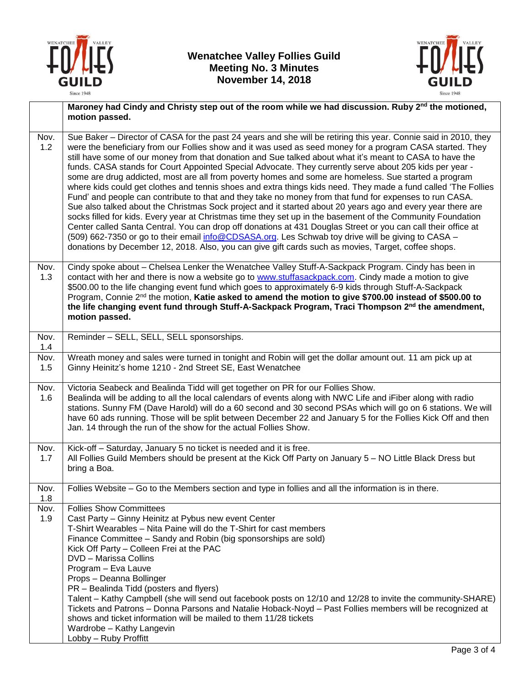



|             | Maroney had Cindy and Christy step out of the room while we had discussion. Ruby 2 <sup>nd</sup> the motioned,                                                                                                                                                                                                                                                                                                                                                                                                                                                                                                                                                                                                                                                                                                                                                                                                                                                                                                                                                                                                                                                                                                                                                                                                                                        |  |  |  |
|-------------|-------------------------------------------------------------------------------------------------------------------------------------------------------------------------------------------------------------------------------------------------------------------------------------------------------------------------------------------------------------------------------------------------------------------------------------------------------------------------------------------------------------------------------------------------------------------------------------------------------------------------------------------------------------------------------------------------------------------------------------------------------------------------------------------------------------------------------------------------------------------------------------------------------------------------------------------------------------------------------------------------------------------------------------------------------------------------------------------------------------------------------------------------------------------------------------------------------------------------------------------------------------------------------------------------------------------------------------------------------|--|--|--|
|             | motion passed.                                                                                                                                                                                                                                                                                                                                                                                                                                                                                                                                                                                                                                                                                                                                                                                                                                                                                                                                                                                                                                                                                                                                                                                                                                                                                                                                        |  |  |  |
| Nov.<br>1.2 | Sue Baker – Director of CASA for the past 24 years and she will be retiring this year. Connie said in 2010, they<br>were the beneficiary from our Follies show and it was used as seed money for a program CASA started. They<br>still have some of our money from that donation and Sue talked about what it's meant to CASA to have the<br>funds. CASA stands for Court Appointed Special Advocate. They currently serve about 205 kids per year -<br>some are drug addicted, most are all from poverty homes and some are homeless. Sue started a program<br>where kids could get clothes and tennis shoes and extra things kids need. They made a fund called 'The Follies<br>Fund' and people can contribute to that and they take no money from that fund for expenses to run CASA.<br>Sue also talked about the Christmas Sock project and it started about 20 years ago and every year there are<br>socks filled for kids. Every year at Christmas time they set up in the basement of the Community Foundation<br>Center called Santa Central. You can drop off donations at 431 Douglas Street or you can call their office at<br>(509) 662-7350 or go to their email info@CDSASA.org. Les Schwab toy drive will be giving to CASA -<br>donations by December 12, 2018. Also, you can give gift cards such as movies, Target, coffee shops. |  |  |  |
| Nov.<br>1.3 | Cindy spoke about - Chelsea Lenker the Wenatchee Valley Stuff-A-Sackpack Program. Cindy has been in<br>contact with her and there is now a website go to www.stuffasackpack.com. Cindy made a motion to give<br>\$500.00 to the life changing event fund which goes to approximately 6-9 kids through Stuff-A-Sackpack<br>Program, Connie 2nd the motion, Katie asked to amend the motion to give \$700.00 instead of \$500.00 to<br>the life changing event fund through Stuff-A-Sackpack Program, Traci Thompson 2nd the amendment,<br>motion passed.                                                                                                                                                                                                                                                                                                                                                                                                                                                                                                                                                                                                                                                                                                                                                                                               |  |  |  |
| Nov.<br>1.4 | Reminder - SELL, SELL, SELL sponsorships.                                                                                                                                                                                                                                                                                                                                                                                                                                                                                                                                                                                                                                                                                                                                                                                                                                                                                                                                                                                                                                                                                                                                                                                                                                                                                                             |  |  |  |
| Nov.<br>1.5 | Wreath money and sales were turned in tonight and Robin will get the dollar amount out. 11 am pick up at<br>Ginny Heinitz's home 1210 - 2nd Street SE, East Wenatchee                                                                                                                                                                                                                                                                                                                                                                                                                                                                                                                                                                                                                                                                                                                                                                                                                                                                                                                                                                                                                                                                                                                                                                                 |  |  |  |
| Nov.<br>1.6 | Victoria Seabeck and Bealinda Tidd will get together on PR for our Follies Show.<br>Bealinda will be adding to all the local calendars of events along with NWC Life and iFiber along with radio<br>stations. Sunny FM (Dave Harold) will do a 60 second and 30 second PSAs which will go on 6 stations. We will<br>have 60 ads running. Those will be split between December 22 and January 5 for the Follies Kick Off and then<br>Jan. 14 through the run of the show for the actual Follies Show.                                                                                                                                                                                                                                                                                                                                                                                                                                                                                                                                                                                                                                                                                                                                                                                                                                                  |  |  |  |
| Nov.<br>1.7 | Kick-off - Saturday, January 5 no ticket is needed and it is free.<br>All Follies Guild Members should be present at the Kick Off Party on January 5 - NO Little Black Dress but<br>bring a Boa.                                                                                                                                                                                                                                                                                                                                                                                                                                                                                                                                                                                                                                                                                                                                                                                                                                                                                                                                                                                                                                                                                                                                                      |  |  |  |
| Nov.<br>1.8 | Follies Website - Go to the Members section and type in follies and all the information is in there.                                                                                                                                                                                                                                                                                                                                                                                                                                                                                                                                                                                                                                                                                                                                                                                                                                                                                                                                                                                                                                                                                                                                                                                                                                                  |  |  |  |
| Nov.<br>1.9 | <b>Follies Show Committees</b><br>Cast Party - Ginny Heinitz at Pybus new event Center<br>T-Shirt Wearables - Nita Paine will do the T-Shirt for cast members<br>Finance Committee - Sandy and Robin (big sponsorships are sold)<br>Kick Off Party - Colleen Frei at the PAC<br>DVD - Marissa Collins<br>Program - Eva Lauve<br>Props - Deanna Bollinger<br>PR - Bealinda Tidd (posters and flyers)<br>Talent - Kathy Campbell (she will send out facebook posts on 12/10 and 12/28 to invite the community-SHARE)<br>Tickets and Patrons - Donna Parsons and Natalie Hoback-Noyd - Past Follies members will be recognized at<br>shows and ticket information will be mailed to them 11/28 tickets<br>Wardrobe - Kathy Langevin<br>Lobby - Ruby Proffitt                                                                                                                                                                                                                                                                                                                                                                                                                                                                                                                                                                                             |  |  |  |